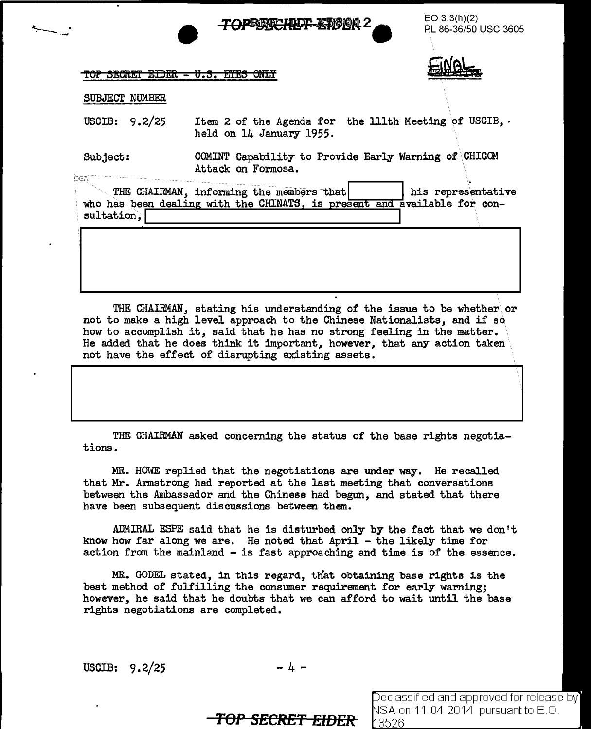

EO 3.3(h)(2)<br>PL 86-36/50 USC 3605

<u>TOP SECRET EIDER - U.S. EYES ONLY</u>

### SUBJECT NUMBER

 $\overline{\phantom{a}}$ 

bGA

USCIB: 9.2/25 Item 2 of the Agenda for the lllth Meeting of USCIB, · held on 14 January 1955.

Subject: COMINT Capability to Provide Early Warning of CHICOM Attack on Formosa.

| эP                                                                       |                    |
|--------------------------------------------------------------------------|--------------------|
| THE CHAIRMAN, informing the members that                                 | his representative |
| who has been dealing with the CHINATS, is present and available for con- |                    |
| sultation.                                                               |                    |

THE CHAIRMAN, stating his understanding of the issue to be whether or not to make a high level approach to the Chinese Nationalists, and if so how to accomplish it, said that he has no strong feeling in the matter. He added that he does think it important, however, that any action taken not have the effect of disrupting existing assets.

THE CHAIRMAN asked concerning the status of the base rights negotiations.

MR. HOWE replied that the negotiations are under way. He recalled that Mr. Armstrong had reported at the last meeting that conversations between the Ambassador and the Chinese had begun, and stated that there have been subsequent discussions between them.

ADMIRAL ESPE said that he is disturbed only by the fact that we don't know how far along we are. He noted that April - the likely time for action from the mainland - is fast approaching and time is of the essence.

MR. GODEL stated, in this regard, that obtaining base rights is the best method of fulfilling the consumer requirement for early warning; however, he said that he doubts that we can afford to wait until the base rights negotiations are completed.

USCIB:  $9.2/25$  - 4 -

*TOI' SECRET* **EIDER** 

Declassified and approved for release by  $\mid$  $\n$  NSA on 11-04-2014 pursuant to E.O. 3526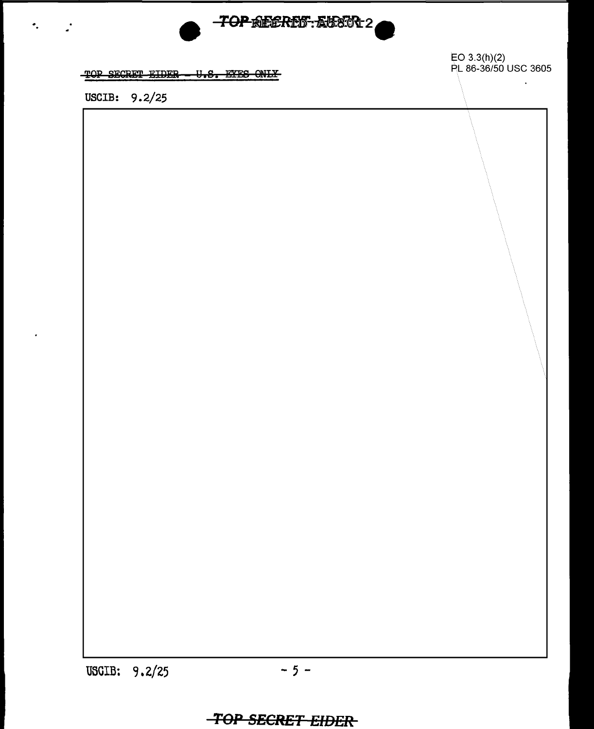

EO 3.3(h)(2) PL 86-36/50 USC 3605

 $\hat{\phantom{a}}$ 

TOP SECRET EIDER - U.S. EYES ONLY

USCIB: 9.2/25

 $\gamma = \gamma$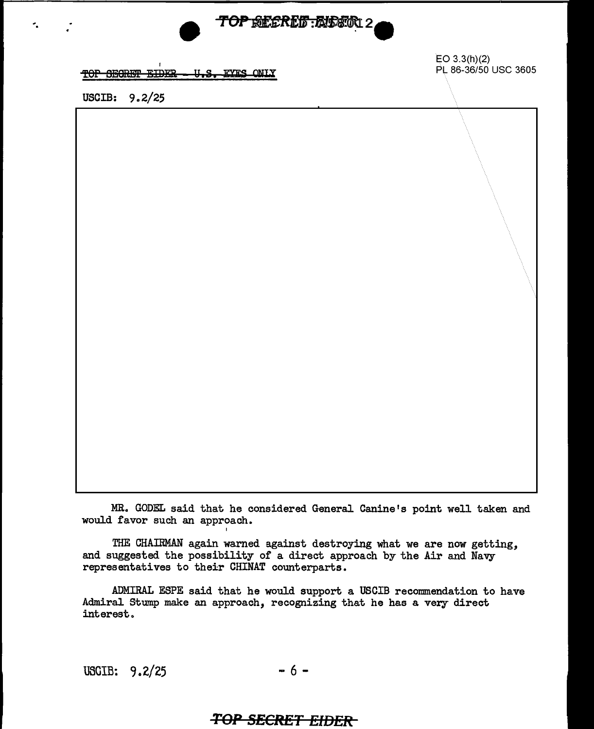

I TOP SECRET EIDER - U.S. EYES ONLY EO 3.3(h)(2) PL 86-36/50 USC 3605

USCIB: 9.2/25

÷.

MR. GODEL said that he considered General Canine's point well taken and would favor such an approach.

THE CHAIRMAN again warned against destroying what we are now getting, and suggested the possibility of a direct approach by the Air and Navy representatives to their CHINAT counterparts.

I

ADMIRAL ESPE said that he would support a USCIB recommendation to have Admiral Stump make an approach, recognizing that he has a very direct interest.

USGIB:  $9.2/25$  - 6 -

# *TOP SECRET EtDER*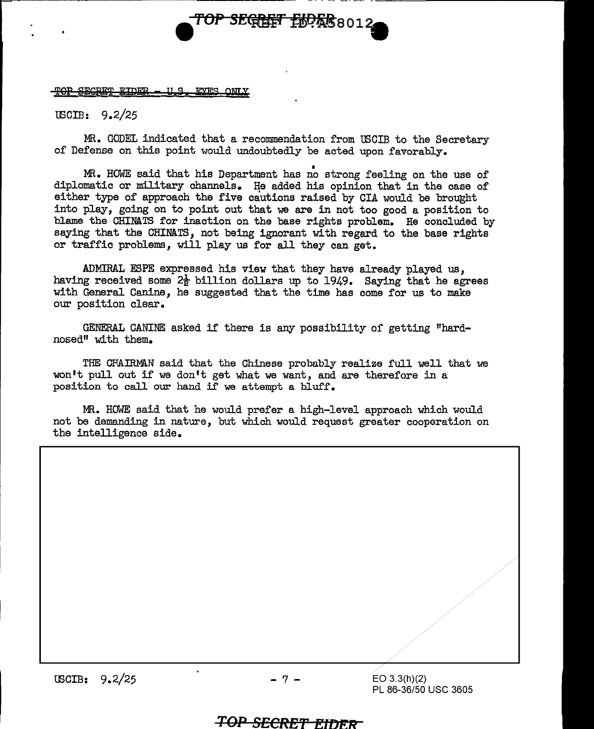### $\underline{\text{TOP} - SECRET - EIDER - U.S, EYES OMLX}}$

IBCIB: 9.2/25

MR. GODEL indicated that a recommendation from U3CIB to the Secretary of Defense on this point would undoubtedly be acted upon favorably •

-==-~----~----------------·--- -- - --· ------- ·---------------

SEGGET ESPERB8012

• MR. HOWE said that his Department has no strong feeling on the use of diplomatic or military channels. He added his opinion that in the case of either type of approach the five cautions raised by CIA would be brought into play, going on to point out that we are in not too good a position to blame the CHINATS for inaction on the base rights problem. He concluded by saying that the CHINATS, not being ignorant with regard to the base rights or traffic problems, will play us for all they can get.

ADMIRAL ESPE expressed his view that they have already played us, having received some  $2\frac{1}{2}$  billion dollars up to 1949. Saying that he agrees with General Canine, he suggested that the time has come for us to make our position clear.

GENERAL CANINE asked if there is any possibility of getting "hardnosed" with them.

THE CHAIRMAN said that the Chinese probably realize full well that we won't pull out if we don't get what we want, and are therefore in a position to call our hand if we attempt a bluff'.

MR. HOWE said that he would prefer a high-level approach which would not be demanding in nature, but which would request greater cooperation on the intelligence side.

PL 86-36/50 USC 3605

## TOP SECRET EIDE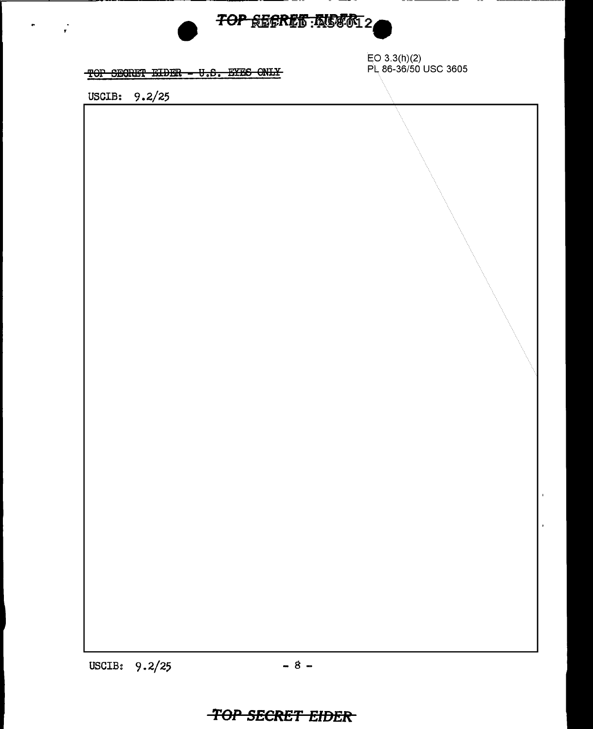

EO 3.3(h)(2)<br>PL 86-36/50 USC 3605

TOP SECRET EIDER - U.S. EYES ONLY

USCIB: 9.2/25

 $\frac{1}{\sqrt{2}}\left(\frac{1}{\sqrt{2}}\right)^{2}$ 

USCIB: 9.2/25